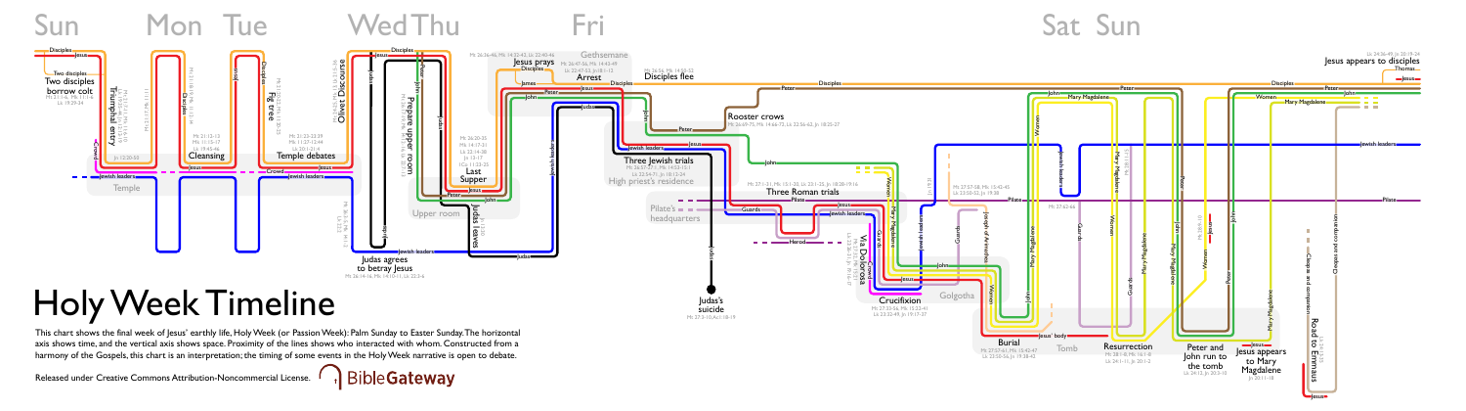